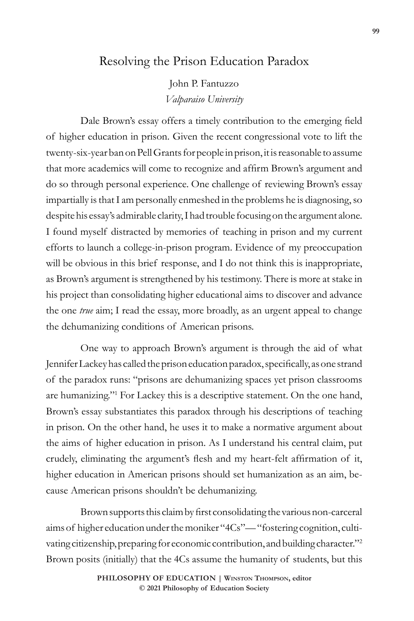## Resolving the Prison Education Paradox

John P. Fantuzzo *Valparaiso University*

Dale Brown's essay offers a timely contribution to the emerging field of higher education in prison. Given the recent congressional vote to lift the twenty-six-year ban on Pell Grants for people in prison, it is reasonable to assume that more academics will come to recognize and affirm Brown's argument and do so through personal experience. One challenge of reviewing Brown's essay impartially is that I am personally enmeshed in the problems he is diagnosing, so despite his essay's admirable clarity, I had trouble focusing on the argument alone. I found myself distracted by memories of teaching in prison and my current efforts to launch a college-in-prison program. Evidence of my preoccupation will be obvious in this brief response, and I do not think this is inappropriate, as Brown's argument is strengthened by his testimony. There is more at stake in his project than consolidating higher educational aims to discover and advance the one *true* aim; I read the essay, more broadly, as an urgent appeal to change the dehumanizing conditions of American prisons.

One way to approach Brown's argument is through the aid of what Jennifer Lackey has called the prison education paradox, specifically, as one strand of the paradox runs: "prisons are dehumanizing spaces yet prison classrooms are humanizing."1 For Lackey this is a descriptive statement. On the one hand, Brown's essay substantiates this paradox through his descriptions of teaching in prison. On the other hand, he uses it to make a normative argument about the aims of higher education in prison. As I understand his central claim, put crudely, eliminating the argument's flesh and my heart-felt affirmation of it, higher education in American prisons should set humanization as an aim, because American prisons shouldn't be dehumanizing.

Brown supports this claim by first consolidating the various non-carceral aims of higher education under the moniker "4Cs"— "fostering cognition, cultivating citizenship, preparing for economic contribution, and building character."2 Brown posits (initially) that the 4Cs assume the humanity of students, but this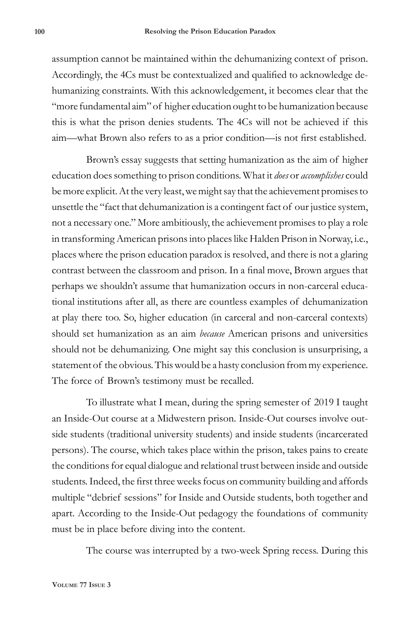assumption cannot be maintained within the dehumanizing context of prison. Accordingly, the 4Cs must be contextualized and qualified to acknowledge dehumanizing constraints. With this acknowledgement, it becomes clear that the "more fundamental aim" of higher education ought to be humanization because this is what the prison denies students. The 4Cs will not be achieved if this aim—what Brown also refers to as a prior condition—is not first established.

Brown's essay suggests that setting humanization as the aim of higher education does something to prison conditions. What it *does* or *accomplishes* could be more explicit. At the very least, we might say that the achievement promises to unsettle the "fact that dehumanization is a contingent fact of our justice system, not a necessary one." More ambitiously, the achievement promises to play a role in transforming American prisons into places like Halden Prison in Norway, i.e., places where the prison education paradox is resolved, and there is not a glaring contrast between the classroom and prison. In a final move, Brown argues that perhaps we shouldn't assume that humanization occurs in non-carceral educational institutions after all, as there are countless examples of dehumanization at play there too. So, higher education (in carceral and non-carceral contexts) should set humanization as an aim *because* American prisons and universities should not be dehumanizing. One might say this conclusion is unsurprising, a statement of the obvious. This would be a hasty conclusion from my experience. The force of Brown's testimony must be recalled.

To illustrate what I mean, during the spring semester of 2019 I taught an Inside-Out course at a Midwestern prison. Inside-Out courses involve outside students (traditional university students) and inside students (incarcerated persons). The course, which takes place within the prison, takes pains to create the conditions for equal dialogue and relational trust between inside and outside students. Indeed, the first three weeks focus on community building and affords multiple "debrief sessions" for Inside and Outside students, both together and apart. According to the Inside-Out pedagogy the foundations of community must be in place before diving into the content.

The course was interrupted by a two-week Spring recess. During this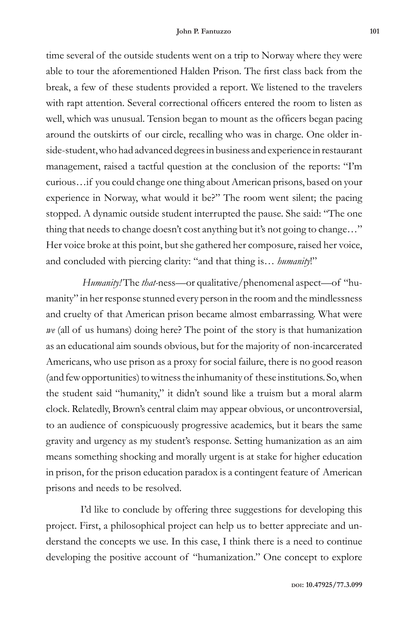time several of the outside students went on a trip to Norway where they were able to tour the aforementioned Halden Prison. The first class back from the break, a few of these students provided a report. We listened to the travelers with rapt attention. Several correctional officers entered the room to listen as well, which was unusual. Tension began to mount as the officers began pacing around the outskirts of our circle, recalling who was in charge. One older inside-student, who had advanced degrees in business and experience in restaurant management, raised a tactful question at the conclusion of the reports: "I'm curious…if you could change one thing about American prisons, based on your experience in Norway, what would it be?" The room went silent; the pacing stopped. A dynamic outside student interrupted the pause. She said: "The one thing that needs to change doesn't cost anything but it's not going to change…" Her voice broke at this point, but she gathered her composure, raised her voice, and concluded with piercing clarity: "and that thing is… *humanity*!"

*Humanity!* The *that-*ness—or qualitative/phenomenal aspect—of "humanity" in her response stunned every person in the room and the mindlessness and cruelty of that American prison became almost embarrassing. What were *we* (all of us humans) doing here? The point of the story is that humanization as an educational aim sounds obvious, but for the majority of non-incarcerated Americans, who use prison as a proxy for social failure, there is no good reason (and few opportunities) to witness the inhumanity of these institutions. So, when the student said "humanity," it didn't sound like a truism but a moral alarm clock. Relatedly, Brown's central claim may appear obvious, or uncontroversial, to an audience of conspicuously progressive academics, but it bears the same gravity and urgency as my student's response. Setting humanization as an aim means something shocking and morally urgent is at stake for higher education in prison, for the prison education paradox is a contingent feature of American prisons and needs to be resolved.

I'd like to conclude by offering three suggestions for developing this project. First, a philosophical project can help us to better appreciate and understand the concepts we use. In this case, I think there is a need to continue developing the positive account of "humanization." One concept to explore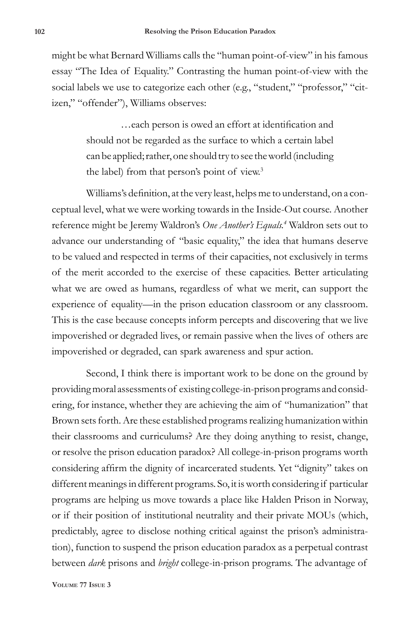might be what Bernard Williams calls the "human point-of-view" in his famous essay "The Idea of Equality." Contrasting the human point-of-view with the social labels we use to categorize each other (e.g., "student," "professor," "citizen," "offender"), Williams observes:

> …each person is owed an effort at identification and should not be regarded as the surface to which a certain label can be applied; rather, one should try to see the world (including the label) from that person's point of view.<sup>3</sup>

Williams's definition, at the very least, helps me to understand, on a conceptual level, what we were working towards in the Inside-Out course. Another reference might be Jeremy Waldron's *One Another's Equals.4* Waldron sets out to advance our understanding of "basic equality," the idea that humans deserve to be valued and respected in terms of their capacities, not exclusively in terms of the merit accorded to the exercise of these capacities. Better articulating what we are owed as humans, regardless of what we merit, can support the experience of equality—in the prison education classroom or any classroom. This is the case because concepts inform percepts and discovering that we live impoverished or degraded lives, or remain passive when the lives of others are impoverished or degraded, can spark awareness and spur action.

Second, I think there is important work to be done on the ground by providing moral assessments of existing college-in-prison programs and considering, for instance, whether they are achieving the aim of "humanization" that Brown sets forth. Are these established programs realizing humanization within their classrooms and curriculums? Are they doing anything to resist, change, or resolve the prison education paradox? All college-in-prison programs worth considering affirm the dignity of incarcerated students. Yet "dignity" takes on different meanings in different programs. So, it is worth considering if particular programs are helping us move towards a place like Halden Prison in Norway, or if their position of institutional neutrality and their private MOUs (which, predictably, agree to disclose nothing critical against the prison's administration), function to suspend the prison education paradox as a perpetual contrast between *dark* prisons and *bright* college-in-prison programs. The advantage of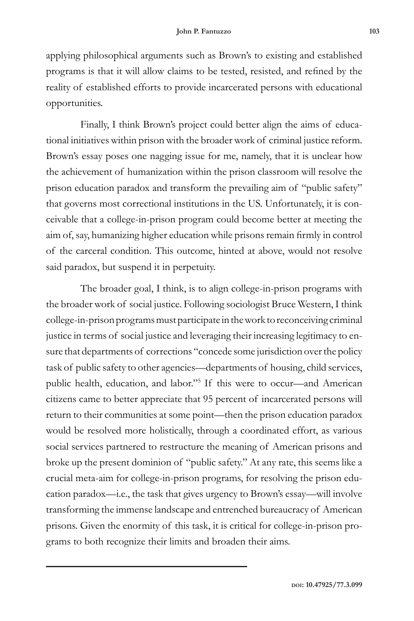applying philosophical arguments such as Brown's to existing and established programs is that it will allow claims to be tested, resisted, and refined by the reality of established efforts to provide incarcerated persons with educational opportunities.

Finally, I think Brown's project could better align the aims of educational initiatives within prison with the broader work of criminal justice reform. Brown's essay poses one nagging issue for me, namely, that it is unclear how the achievement of humanization within the prison classroom will resolve the prison education paradox and transform the prevailing aim of "public safety" that governs most correctional institutions in the US. Unfortunately, it is conceivable that a college-in-prison program could become better at meeting the aim of, say, humanizing higher education while prisons remain firmly in control of the carceral condition. This outcome, hinted at above, would not resolve said paradox, but suspend it in perpetuity.

The broader goal, I think, is to align college-in-prison programs with the broader work of social justice. Following sociologist Bruce Western, I think college-in-prison programs must participate in the work to reconceiving criminal justice in terms of social justice and leveraging their increasing legitimacy to ensure that departments of corrections "concede some jurisdiction over the policy task of public safety to other agencies—departments of housing, child services, public health, education, and labor."5 If this were to occur—and American citizens came to better appreciate that 95 percent of incarcerated persons will return to their communities at some point—then the prison education paradox would be resolved more holistically, through a coordinated effort, as various social services partnered to restructure the meaning of American prisons and broke up the present dominion of "public safety." At any rate, this seems like a crucial meta-aim for college-in-prison programs, for resolving the prison education paradox—i.e., the task that gives urgency to Brown's essay—will involve transforming the immense landscape and entrenched bureaucracy of American prisons. Given the enormity of this task, it is critical for college-in-prison programs to both recognize their limits and broaden their aims.